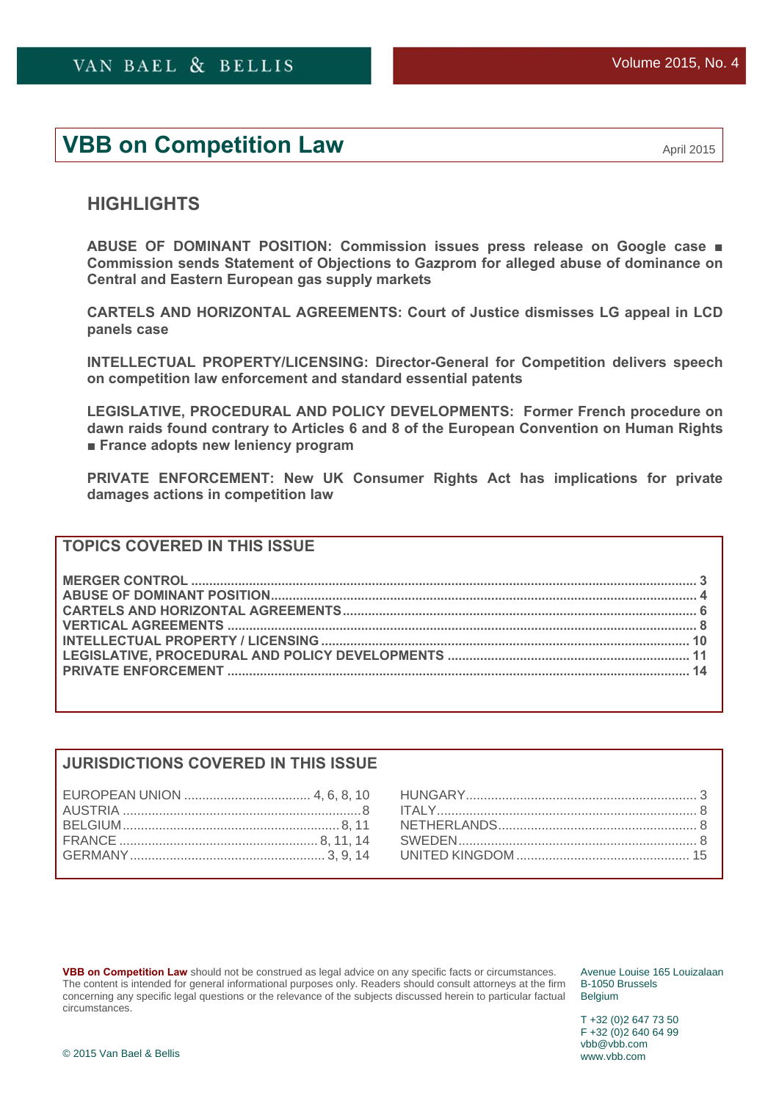# **VBB on Competition Law** <br>April 2015

# **HIGHLIGHTS**

**[ABUSE OF DOMINANT POSITION: Commission issues press release on Google case](#page-3-0) ■ [Commission sends Statement of Objections to Gazprom for alleged abuse of dominance on](#page-4-0)  Central and Eastern European gas supply markets** 

**[CARTELS AND HORIZONTAL AGREEMENTS: Court of Justice dismisses LG appeal in LCD](#page-5-0)  panels case** 

**[INTELLECTUAL PROPERTY/LICENSING: Director-General for Competition delivers speech](#page-9-0)  on competition law enforcement and standard essential patents** 

**LEGISLATIVE, PROCEDURAL AND POLICY DEVELOPMENTS: Former French procedure on [dawn raids found contrary to Articles 6 and 8 of the European Convention on Human Rights](#page-10-0)  ■ [France adopts new leniency program](#page-11-0)** 

**[PRIVATE ENFORCEMENT: New UK Consumer Rights Act has implications for private](#page-14-0)  damages actions in competition law** 

# **TOPICS COVERED IN THIS ISSUE**

### **JURISDICTIONS COVERED IN THIS ISSUE**

**VBB on Competition Law** should not be construed as legal advice on any specific facts or circumstances. The content is intended for general informational purposes only. Readers should consult attorneys at the firm concerning any specific legal questions or the relevance of the subjects discussed herein to particular factual circumstances.

Avenue Louise 165 Louizalaan B-1050 Brussels **Belgium** 

T +32 (0)2 647 73 50 F +32 (0)2 640 64 99 vbb@vbb.com www.vbb.com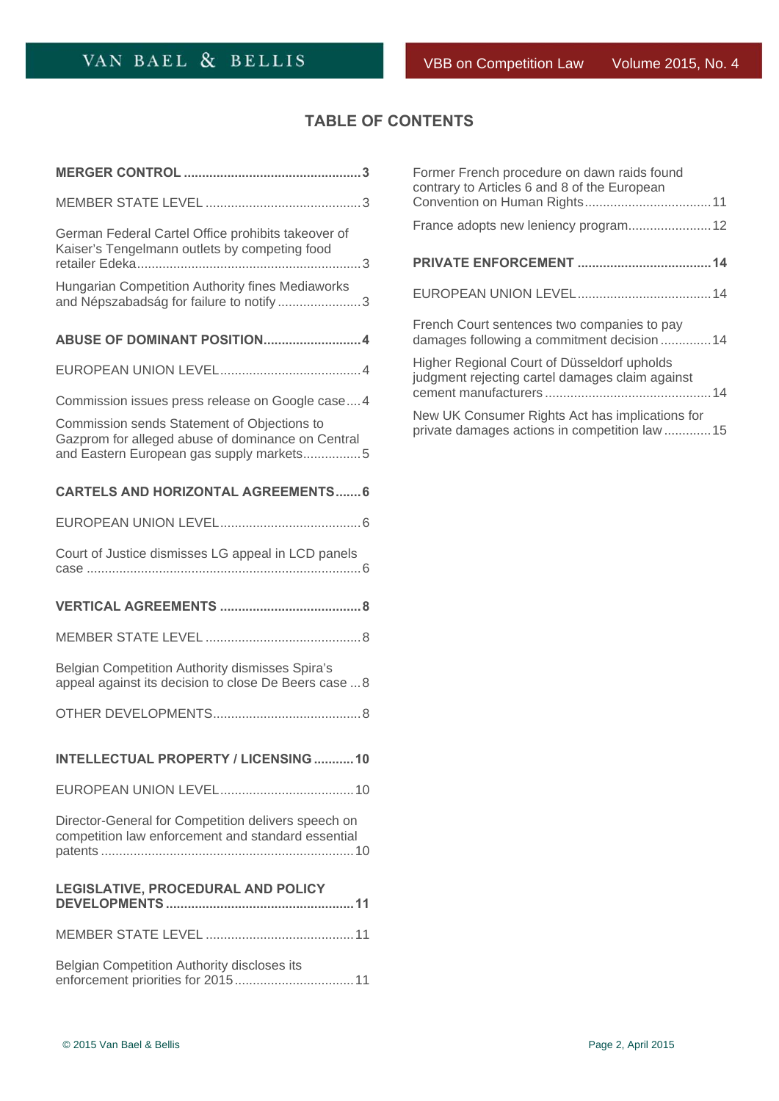# **TABLE OF CONTENTS**

| German Federal Cartel Office prohibits takeover of<br>Kaiser's Tengelmann outlets by competing food                                          |
|----------------------------------------------------------------------------------------------------------------------------------------------|
| Hungarian Competition Authority fines Mediaworks<br>and Népszabadság for failure to notify3                                                  |
| ABUSE OF DOMINANT POSITION4                                                                                                                  |
|                                                                                                                                              |
| Commission issues press release on Google case 4                                                                                             |
| Commission sends Statement of Objections to<br>Gazprom for alleged abuse of dominance on Central<br>and Eastern European gas supply markets5 |
| <b>CARTELS AND HORIZONTAL AGREEMENTS 6</b>                                                                                                   |
|                                                                                                                                              |
| Court of Justice dismisses LG appeal in LCD panels                                                                                           |
|                                                                                                                                              |
|                                                                                                                                              |
|                                                                                                                                              |
| Belgian Competition Authority dismisses Spira's<br>appeal against its decision to close De Beers case  8                                     |
|                                                                                                                                              |
| <b>INTELLECTUAL PROPERTY / LICENSING 10</b>                                                                                                  |
|                                                                                                                                              |
| Director-General for Competition delivers speech on<br>competition law enforcement and standard essential                                    |
| LEGISLATIVE, PROCEDURAL AND POLICY                                                                                                           |
|                                                                                                                                              |

| Former French procedure on dawn raids found<br>contrary to Articles 6 and 8 of the European      |
|--------------------------------------------------------------------------------------------------|
|                                                                                                  |
|                                                                                                  |
|                                                                                                  |
| French Court sentences two companies to pay<br>damages following a commitment decision14         |
| Higher Regional Court of Düsseldorf upholds<br>judgment rejecting cartel damages claim against   |
| New UK Consumer Rights Act has implications for<br>private damages actions in competition law 15 |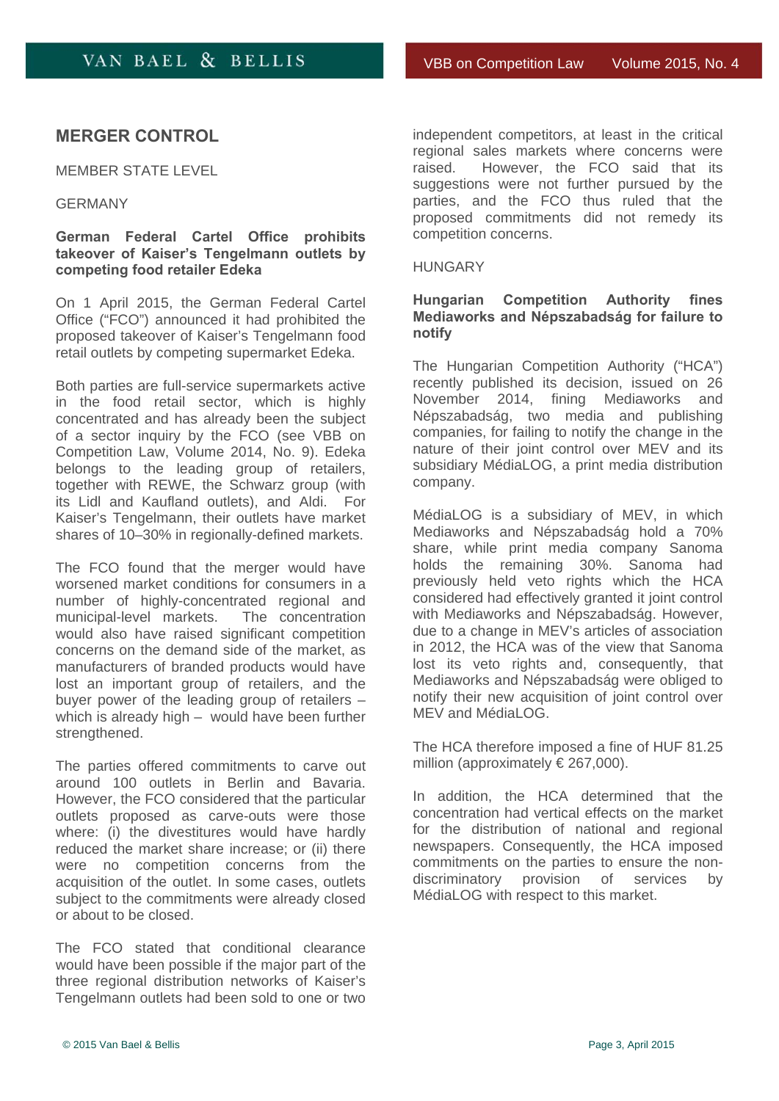# <span id="page-2-0"></span>**MERGER CONTROL**

MEMBER STATE LEVEL

### GERMANY

### **German Federal Cartel Office prohibits takeover of Kaiser's Tengelmann outlets by competing food retailer Edeka**

On 1 April 2015, the German Federal Cartel Office ("FCO") announced it had prohibited the proposed takeover of Kaiser's Tengelmann food retail outlets by competing supermarket Edeka.

Both parties are full-service supermarkets active in the food retail sector, which is highly concentrated and has already been the subject of a sector inquiry by the FCO (see VBB on Competition Law, Volume 2014, No. 9). Edeka belongs to the leading group of retailers, together with REWE, the Schwarz group (with its Lidl and Kaufland outlets), and Aldi. For Kaiser's Tengelmann, their outlets have market shares of 10–30% in regionally-defined markets.

The FCO found that the merger would have worsened market conditions for consumers in a number of highly-concentrated regional and municipal-level markets. The concentration would also have raised significant competition concerns on the demand side of the market, as manufacturers of branded products would have lost an important group of retailers, and the buyer power of the leading group of retailers – which is already high – would have been further strengthened.

The parties offered commitments to carve out around 100 outlets in Berlin and Bavaria. However, the FCO considered that the particular outlets proposed as carve-outs were those where: (i) the divestitures would have hardly reduced the market share increase; or (ii) there were no competition concerns from the acquisition of the outlet. In some cases, outlets subject to the commitments were already closed or about to be closed.

The FCO stated that conditional clearance would have been possible if the major part of the three regional distribution networks of Kaiser's Tengelmann outlets had been sold to one or two

independent competitors, at least in the critical regional sales markets where concerns were<br>raised. However. the FCO said that its However, the FCO said that its suggestions were not further pursued by the parties, and the FCO thus ruled that the proposed commitments did not remedy its competition concerns.

#### HUNGARY

### **Hungarian Competition Authority fines Mediaworks and Népszabadság for failure to notify**

The Hungarian Competition Authority ("HCA") recently published its decision, issued on 26 November 2014, fining Mediaworks and Népszabadság, two media and publishing companies, for failing to notify the change in the nature of their joint control over MEV and its subsidiary MédiaLOG, a print media distribution company.

MédiaLOG is a subsidiary of MEV, in which Mediaworks and Népszabadság hold a 70% share, while print media company Sanoma holds the remaining 30%. Sanoma had previously held veto rights which the HCA considered had effectively granted it joint control with Mediaworks and Népszabadság. However, due to a change in MEV's articles of association in 2012, the HCA was of the view that Sanoma lost its veto rights and, consequently, that Mediaworks and Népszabadság were obliged to notify their new acquisition of joint control over MFV and Médial OG.

The HCA therefore imposed a fine of HUF 81.25 million (approximately € 267,000).

In addition, the HCA determined that the concentration had vertical effects on the market for the distribution of national and regional newspapers. Consequently, the HCA imposed commitments on the parties to ensure the nondiscriminatory provision of services by MédiaLOG with respect to this market.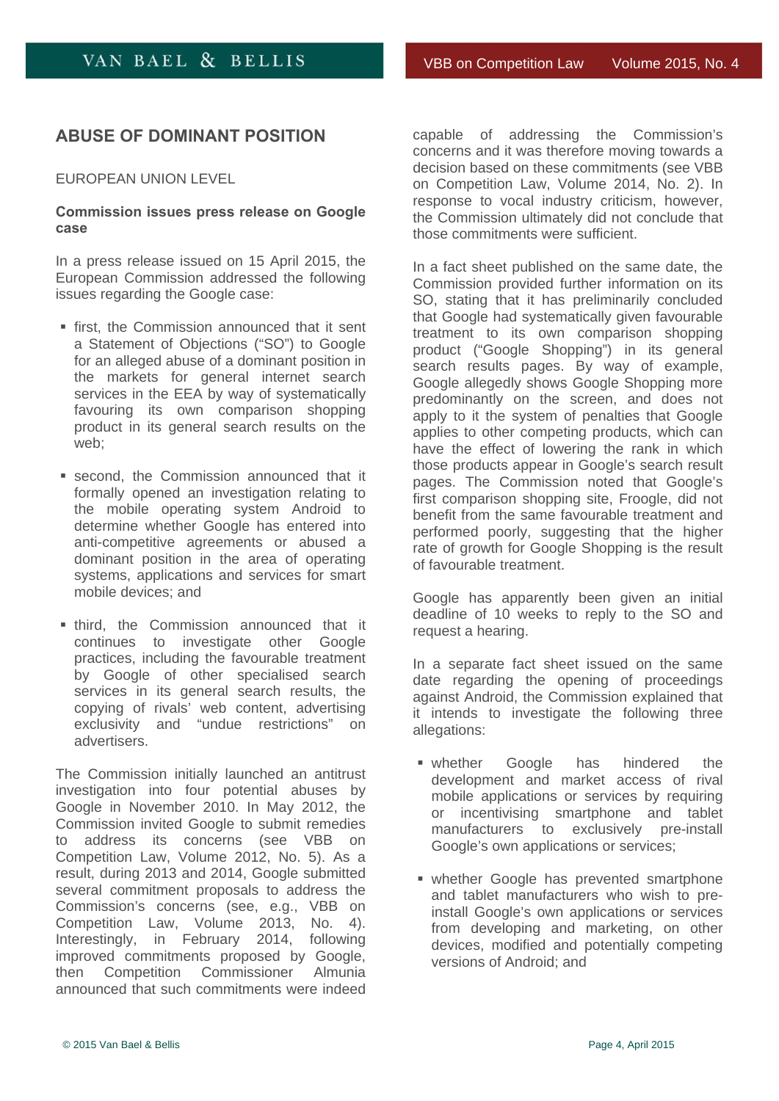# <span id="page-3-0"></span>**ABUSE OF DOMINANT POSITION**

EUROPEAN UNION LEVEL

#### **Commission issues press release on Google case**

In a press release issued on 15 April 2015, the European Commission addressed the following issues regarding the Google case:

- **first, the Commission announced that it sent** a Statement of Objections ("SO") to Google for an alleged abuse of a dominant position in the markets for general internet search services in the EEA by way of systematically favouring its own comparison shopping product in its general search results on the web;
- second, the Commission announced that it formally opened an investigation relating to the mobile operating system Android to determine whether Google has entered into anti-competitive agreements or abused a dominant position in the area of operating systems, applications and services for smart mobile devices; and
- **third, the Commission announced that it** continues to investigate other Google practices, including the favourable treatment by Google of other specialised search services in its general search results, the copying of rivals' web content, advertising exclusivity and "undue restrictions" on advertisers.

The Commission initially launched an antitrust investigation into four potential abuses by Google in November 2010. In May 2012, the Commission invited Google to submit remedies to address its concerns (see VBB on Competition Law, Volume 2012, No. 5). As a result, during 2013 and 2014, Google submitted several commitment proposals to address the Commission's concerns (see, e.g., VBB on Competition Law, Volume 2013, No. 4). Interestingly, in February 2014, following improved commitments proposed by Google, then Competition Commissioner Almunia announced that such commitments were indeed

capable of addressing the Commission's concerns and it was therefore moving towards a decision based on these commitments (see VBB on Competition Law, Volume 2014, No. 2). In response to vocal industry criticism, however, the Commission ultimately did not conclude that those commitments were sufficient.

In a fact sheet published on the same date, the Commission provided further information on its SO, stating that it has preliminarily concluded that Google had systematically given favourable treatment to its own comparison shopping product ("Google Shopping") in its general search results pages. By way of example, Google allegedly shows Google Shopping more predominantly on the screen, and does not apply to it the system of penalties that Google applies to other competing products, which can have the effect of lowering the rank in which those products appear in Google's search result pages. The Commission noted that Google's first comparison shopping site, Froogle, did not benefit from the same favourable treatment and performed poorly, suggesting that the higher rate of growth for Google Shopping is the result of favourable treatment.

Google has apparently been given an initial deadline of 10 weeks to reply to the SO and request a hearing.

In a separate fact sheet issued on the same date regarding the opening of proceedings against Android, the Commission explained that it intends to investigate the following three allegations:

- whether Google has hindered the development and market access of rival mobile applications or services by requiring or incentivising smartphone and tablet manufacturers to exclusively pre-install Google's own applications or services;
- whether Google has prevented smartphone and tablet manufacturers who wish to preinstall Google's own applications or services from developing and marketing, on other devices, modified and potentially competing versions of Android; and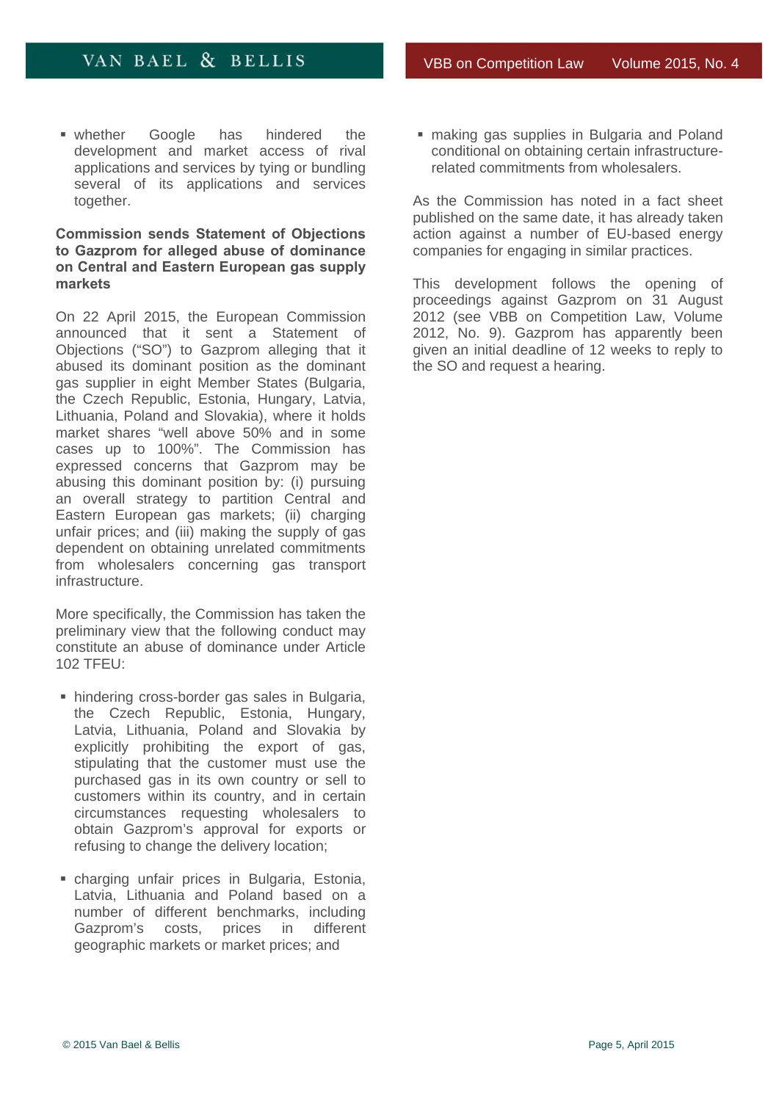<span id="page-4-0"></span>**whether Google has hindered the** development and market access of rival applications and services by tying or bundling several of its applications and services together.

### **Commission sends Statement of Objections to Gazprom for alleged abuse of dominance on Central and Eastern European gas supply markets**

On 22 April 2015, the European Commission announced that it sent a Statement of Objections ("SO") to Gazprom alleging that it abused its dominant position as the dominant gas supplier in eight Member States (Bulgaria, the Czech Republic, Estonia, Hungary, Latvia, Lithuania, Poland and Slovakia), where it holds market shares "well above 50% and in some cases up to 100%". The Commission has expressed concerns that Gazprom may be abusing this dominant position by: (i) pursuing an overall strategy to partition Central and Eastern European gas markets; (ii) charging unfair prices; and (iii) making the supply of gas dependent on obtaining unrelated commitments from wholesalers concerning gas transport infrastructure.

More specifically, the Commission has taken the preliminary view that the following conduct may constitute an abuse of dominance under Article 102 TFEU:

- hindering cross-border gas sales in Bulgaria, the Czech Republic, Estonia, Hungary, Latvia, Lithuania, Poland and Slovakia by explicitly prohibiting the export of gas, stipulating that the customer must use the purchased gas in its own country or sell to customers within its country, and in certain circumstances requesting wholesalers to obtain Gazprom's approval for exports or refusing to change the delivery location;
- charging unfair prices in Bulgaria, Estonia, Latvia, Lithuania and Poland based on a number of different benchmarks, including Gazprom's costs, prices in different geographic markets or market prices; and

**naking gas supplies in Bulgaria and Poland** conditional on obtaining certain infrastructurerelated commitments from wholesalers.

As the Commission has noted in a fact sheet published on the same date, it has already taken action against a number of EU-based energy companies for engaging in similar practices.

This development follows the opening of proceedings against Gazprom on 31 August 2012 (see VBB on Competition Law, Volume 2012, No. 9). Gazprom has apparently been given an initial deadline of 12 weeks to reply to the SO and request a hearing.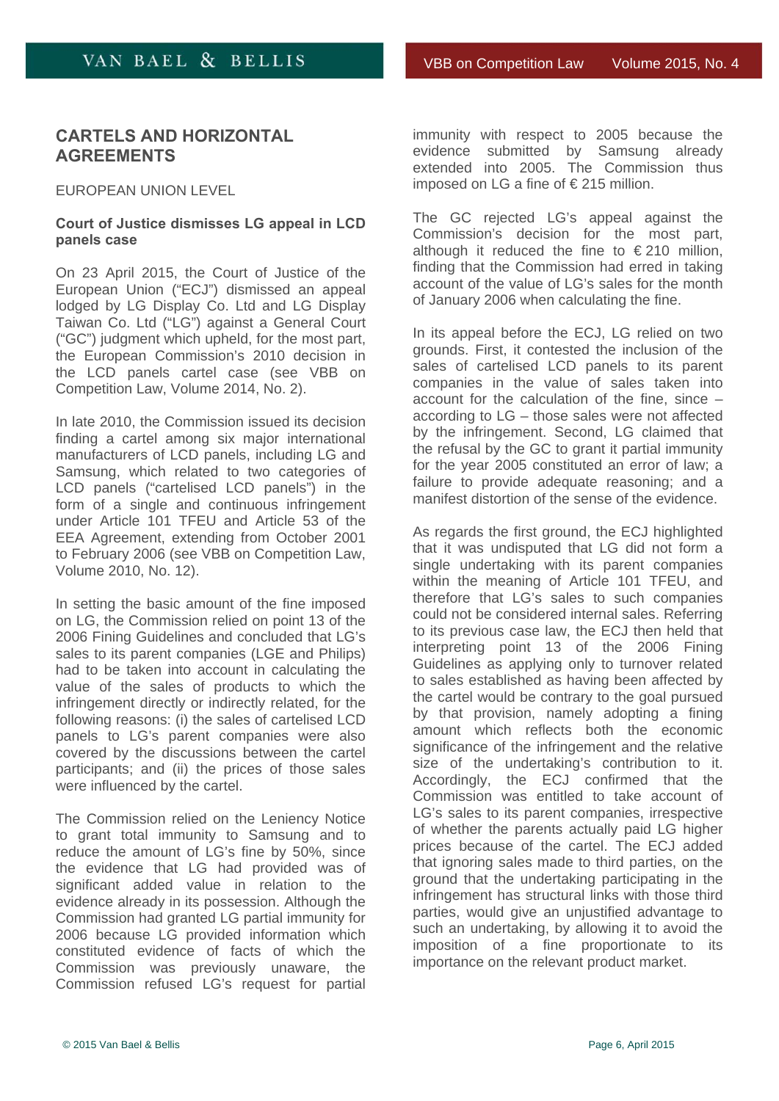# <span id="page-5-0"></span>**CARTELS AND HORIZONTAL AGREEMENTS**

#### EUROPEAN UNION LEVEL

### **Court of Justice dismisses LG appeal in LCD panels case**

On 23 April 2015, the Court of Justice of the European Union ("ECJ") dismissed an appeal lodged by LG Display Co. Ltd and LG Display Taiwan Co. Ltd ("LG") against a General Court ("GC") judgment which upheld, for the most part, the European Commission's 2010 decision in the LCD panels cartel case (see VBB on Competition Law, Volume 2014, No. 2).

In late 2010, the Commission issued its decision finding a cartel among six major international manufacturers of LCD panels, including LG and Samsung, which related to two categories of LCD panels ("cartelised LCD panels") in the form of a single and continuous infringement under Article 101 TFEU and Article 53 of the EEA Agreement, extending from October 2001 to February 2006 (see VBB on Competition Law, Volume 2010, No. 12).

In setting the basic amount of the fine imposed on LG, the Commission relied on point 13 of the 2006 Fining Guidelines and concluded that LG's sales to its parent companies (LGE and Philips) had to be taken into account in calculating the value of the sales of products to which the infringement directly or indirectly related, for the following reasons: (i) the sales of cartelised LCD panels to LG's parent companies were also covered by the discussions between the cartel participants; and (ii) the prices of those sales were influenced by the cartel.

The Commission relied on the Leniency Notice to grant total immunity to Samsung and to reduce the amount of LG's fine by 50%, since the evidence that LG had provided was of significant added value in relation to the evidence already in its possession. Although the Commission had granted LG partial immunity for 2006 because LG provided information which constituted evidence of facts of which the Commission was previously unaware, the Commission refused LG's request for partial

immunity with respect to 2005 because the evidence submitted by Samsung already extended into 2005. The Commission thus imposed on LG a fine of € 215 million.

The GC rejected LG's appeal against the Commission's decision for the most part, although it reduced the fine to  $\epsilon$  210 million, finding that the Commission had erred in taking account of the value of LG's sales for the month of January 2006 when calculating the fine.

In its appeal before the ECJ, LG relied on two grounds. First, it contested the inclusion of the sales of cartelised LCD panels to its parent companies in the value of sales taken into account for the calculation of the fine, since – according to LG – those sales were not affected by the infringement. Second, LG claimed that the refusal by the GC to grant it partial immunity for the year 2005 constituted an error of law; a failure to provide adequate reasoning; and a manifest distortion of the sense of the evidence.

As regards the first ground, the ECJ highlighted that it was undisputed that LG did not form a single undertaking with its parent companies within the meaning of Article 101 TFEU, and therefore that LG's sales to such companies could not be considered internal sales. Referring to its previous case law, the ECJ then held that interpreting point 13 of the 2006 Fining Guidelines as applying only to turnover related to sales established as having been affected by the cartel would be contrary to the goal pursued by that provision, namely adopting a fining amount which reflects both the economic significance of the infringement and the relative size of the undertaking's contribution to it. Accordingly, the ECJ confirmed that the Commission was entitled to take account of LG's sales to its parent companies, irrespective of whether the parents actually paid LG higher prices because of the cartel. The ECJ added that ignoring sales made to third parties, on the ground that the undertaking participating in the infringement has structural links with those third parties, would give an unjustified advantage to such an undertaking, by allowing it to avoid the imposition of a fine proportionate to its importance on the relevant product market.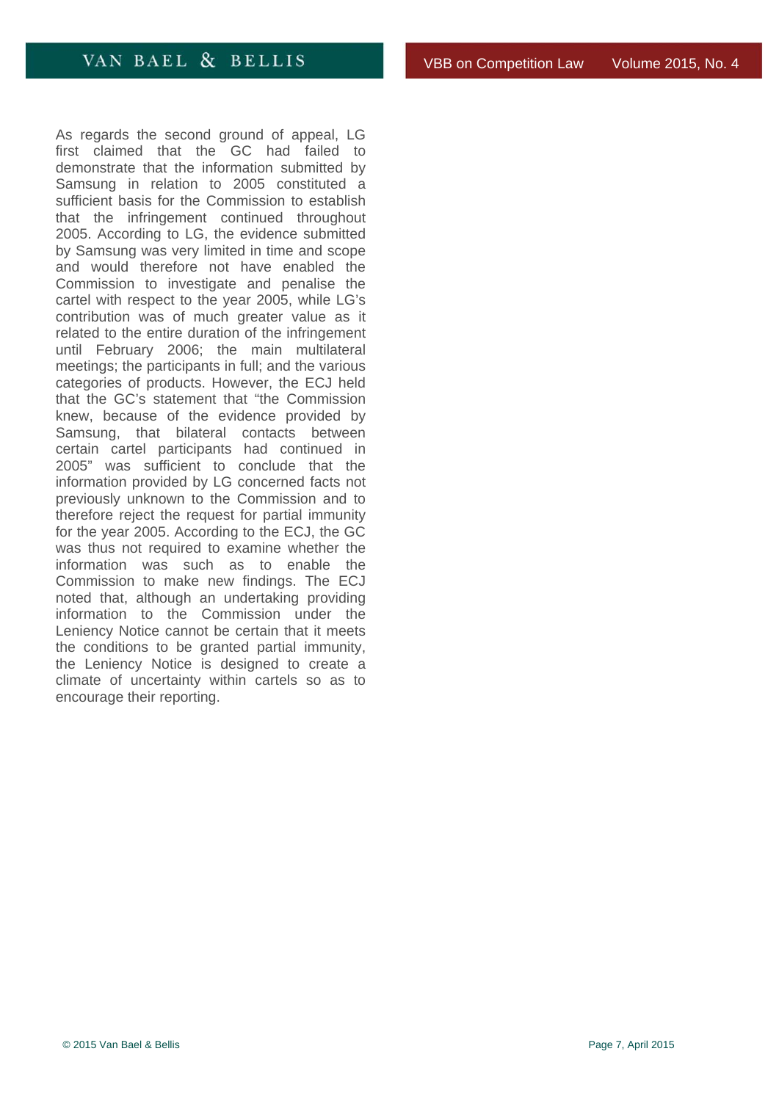As regards the second ground of appeal, LG first claimed that the GC had failed to demonstrate that the information submitted by Samsung in relation to 2005 constituted a sufficient basis for the Commission to establish that the infringement continued throughout 2005. According to LG, the evidence submitted by Samsung was very limited in time and scope and would therefore not have enabled the Commission to investigate and penalise the cartel with respect to the year 2005, while LG's contribution was of much greater value as it related to the entire duration of the infringement until February 2006; the main multilateral meetings; the participants in full; and the various categories of products. However, the ECJ held that the GC's statement that "the Commission knew, because of the evidence provided by Samsung, that bilateral contacts between certain cartel participants had continued in 2005" was sufficient to conclude that the information provided by LG concerned facts not previously unknown to the Commission and to therefore reject the request for partial immunity for the year 2005. According to the ECJ, the GC was thus not required to examine whether the information was such as to enable the Commission to make new findings. The ECJ noted that, although an undertaking providing information to the Commission under the Leniency Notice cannot be certain that it meets the conditions to be granted partial immunity, the Leniency Notice is designed to create a climate of uncertainty within cartels so as to encourage their reporting.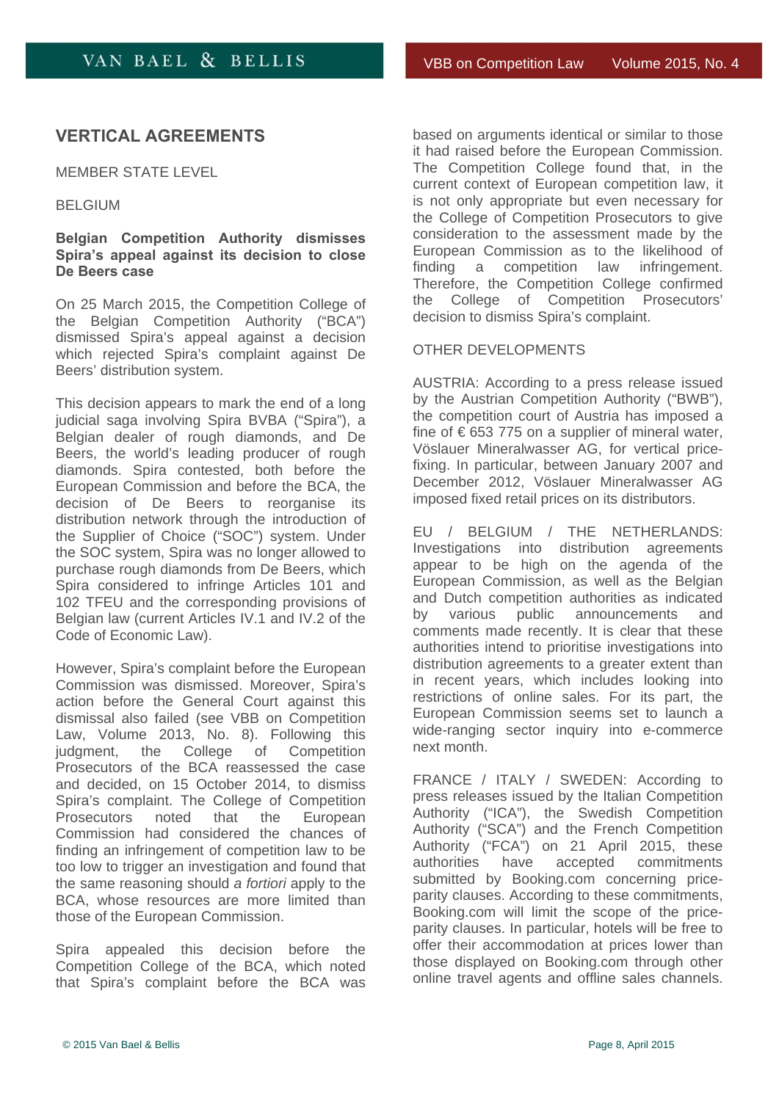# <span id="page-7-0"></span>**VERTICAL AGREEMENTS**

MEMBER STATE LEVEL

#### BELGIUM

### **Belgian Competition Authority dismisses Spira's appeal against its decision to close De Beers case**

On 25 March 2015, the Competition College of the Belgian Competition Authority ("BCA") dismissed Spira's appeal against a decision which rejected Spira's complaint against De Beers' distribution system.

This decision appears to mark the end of a long judicial saga involving Spira BVBA ("Spira"), a Belgian dealer of rough diamonds, and De Beers, the world's leading producer of rough diamonds. Spira contested, both before the European Commission and before the BCA, the decision of De Beers to reorganise its distribution network through the introduction of the Supplier of Choice ("SOC") system. Under the SOC system, Spira was no longer allowed to purchase rough diamonds from De Beers, which Spira considered to infringe Articles 101 and 102 TFEU and the corresponding provisions of Belgian law (current Articles IV.1 and IV.2 of the Code of Economic Law).

However, Spira's complaint before the European Commission was dismissed. Moreover, Spira's action before the General Court against this dismissal also failed (see VBB on Competition Law, Volume 2013, No. 8). Following this judgment, the College of Competition Prosecutors of the BCA reassessed the case and decided, on 15 October 2014, to dismiss Spira's complaint. The College of Competition Prosecutors noted that the European Commission had considered the chances of finding an infringement of competition law to be too low to trigger an investigation and found that the same reasoning should *a fortiori* apply to the BCA, whose resources are more limited than those of the European Commission.

Spira appealed this decision before the Competition College of the BCA, which noted that Spira's complaint before the BCA was

based on arguments identical or similar to those it had raised before the European Commission. The Competition College found that, in the current context of European competition law, it is not only appropriate but even necessary for the College of Competition Prosecutors to give consideration to the assessment made by the European Commission as to the likelihood of finding a competition law infringement. Therefore, the Competition College confirmed the College of Competition Prosecutors' decision to dismiss Spira's complaint.

#### OTHER DEVELOPMENTS

AUSTRIA: According to a press release issued by the Austrian Competition Authority ("BWB"), the competition court of Austria has imposed a fine of  $\epsilon$  653 775 on a supplier of mineral water, Vöslauer Mineralwasser AG, for vertical pricefixing. In particular, between January 2007 and December 2012, Vöslauer Mineralwasser AG imposed fixed retail prices on its distributors.

EU / BELGIUM / THE NETHERLANDS: Investigations into distribution agreements appear to be high on the agenda of the European Commission, as well as the Belgian and Dutch competition authorities as indicated by various public announcements and comments made recently. It is clear that these authorities intend to prioritise investigations into distribution agreements to a greater extent than in recent years, which includes looking into restrictions of online sales. For its part, the European Commission seems set to launch a wide-ranging sector inquiry into e-commerce next month.

FRANCE / ITALY / SWEDEN: According to press releases issued by the Italian Competition Authority ("ICA"), the Swedish Competition Authority ("SCA") and the French Competition Authority ("FCA") on 21 April 2015, these authorities have accepted commitments submitted by Booking.com concerning priceparity clauses. According to these commitments, Booking.com will limit the scope of the priceparity clauses. In particular, hotels will be free to offer their accommodation at prices lower than those displayed on Booking.com through other online travel agents and offline sales channels.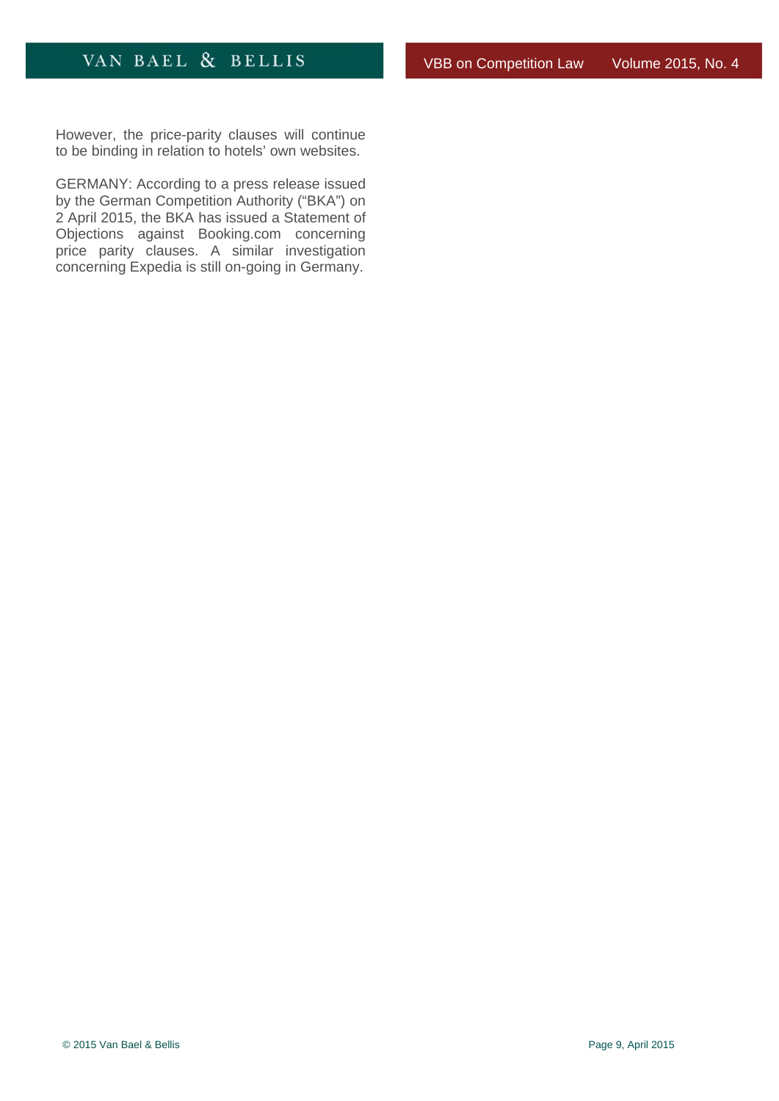<span id="page-8-0"></span>However, the price-parity clauses will continue to be binding in relation to hotels' own websites.

GERMANY: According to a press release issued by the German Competition Authority ("BKA") on 2 April 2015, the BKA has issued a Statement of Objections against Booking.com concerning price parity clauses. A similar investigation concerning Expedia is still on-going in Germany.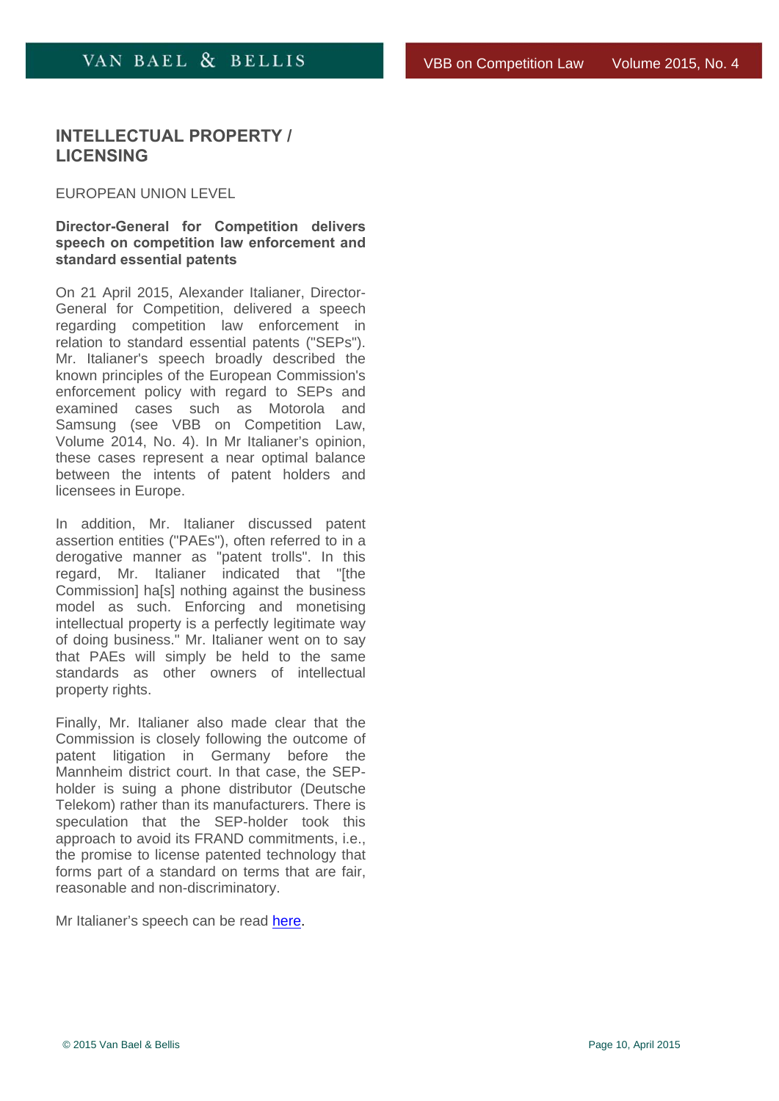## <span id="page-9-0"></span>**INTELLECTUAL PROPERTY / LICENSING**

### EUROPEAN UNION LEVEL

**Director-General for Competition delivers speech on competition law enforcement and standard essential patents** 

On 21 April 2015, Alexander Italianer, Director-General for Competition, delivered a speech regarding competition law enforcement in relation to standard essential patents ("SEPs"). Mr. Italianer's speech broadly described the known principles of the European Commission's enforcement policy with regard to SEPs and examined cases such as Motorola and Samsung (see VBB on Competition Law, Volume 2014, No. 4). In Mr Italianer's opinion, these cases represent a near optimal balance between the intents of patent holders and licensees in Europe.

In addition, Mr. Italianer discussed patent assertion entities ("PAEs"), often referred to in a derogative manner as "patent trolls". In this regard, Mr. Italianer indicated that "[the Commission] ha[s] nothing against the business model as such. Enforcing and monetising intellectual property is a perfectly legitimate way of doing business." Mr. Italianer went on to say that PAEs will simply be held to the same standards as other owners of intellectual property rights.

Finally, Mr. Italianer also made clear that the Commission is closely following the outcome of patent litigation in Germany before the Mannheim district court. In that case, the SEPholder is suing a phone distributor (Deutsche Telekom) rather than its manufacturers. There is speculation that the SEP-holder took this approach to avoid its FRAND commitments, i.e., the promise to license patented technology that forms part of a standard on terms that are fair, reasonable and non-discriminatory.

Mr Italianer's speech can be read here.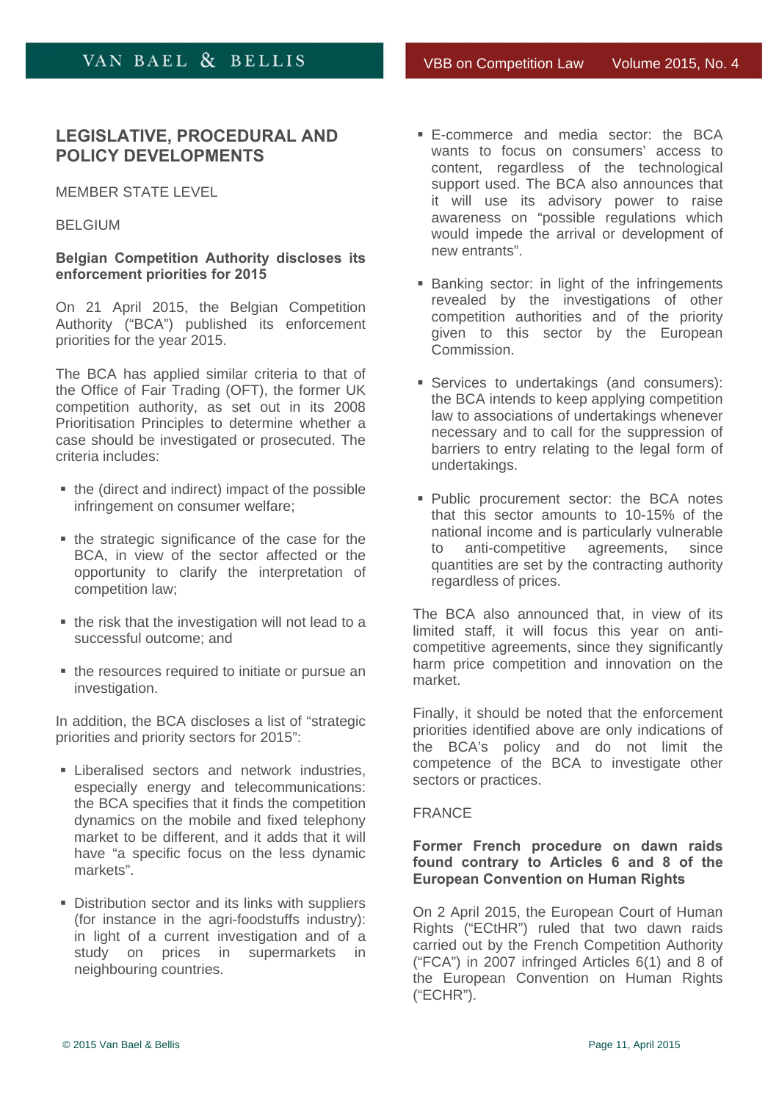# <span id="page-10-0"></span>**LEGISLATIVE, PROCEDURAL AND POLICY DEVELOPMENTS**

#### MEMBER STATE LEVEL

### BELGIUM

### **Belgian Competition Authority discloses its enforcement priorities for 2015**

On 21 April 2015, the Belgian Competition Authority ("BCA") published its enforcement priorities for the year 2015.

The BCA has applied similar criteria to that of the Office of Fair Trading (OFT), the former UK competition authority, as set out in its 2008 Prioritisation Principles to determine whether a case should be investigated or prosecuted. The criteria includes:

- the (direct and indirect) impact of the possible infringement on consumer welfare;
- the strategic significance of the case for the BCA, in view of the sector affected or the opportunity to clarify the interpretation of competition law;
- the risk that the investigation will not lead to a successful outcome; and
- the resources required to initiate or pursue an investigation.

In addition, the BCA discloses a list of "strategic priorities and priority sectors for 2015":

- **Exercised sectors and network industries.** especially energy and telecommunications: the BCA specifies that it finds the competition dynamics on the mobile and fixed telephony market to be different, and it adds that it will have "a specific focus on the less dynamic markets".
- **Distribution sector and its links with suppliers** (for instance in the agri-foodstuffs industry): in light of a current investigation and of a study on prices in supermarkets in neighbouring countries.
- E-commerce and media sector: the BCA wants to focus on consumers' access to content, regardless of the technological support used. The BCA also announces that it will use its advisory power to raise awareness on "possible regulations which would impede the arrival or development of new entrants".
- **Banking sector: in light of the infringements** revealed by the investigations of other competition authorities and of the priority given to this sector by the European Commission.
- Services to undertakings (and consumers): the BCA intends to keep applying competition law to associations of undertakings whenever necessary and to call for the suppression of barriers to entry relating to the legal form of undertakings.
- Public procurement sector: the BCA notes that this sector amounts to 10-15% of the national income and is particularly vulnerable to anti-competitive agreements, since quantities are set by the contracting authority regardless of prices.

The BCA also announced that, in view of its limited staff, it will focus this year on anticompetitive agreements, since they significantly harm price competition and innovation on the market.

Finally, it should be noted that the enforcement priorities identified above are only indications of the BCA's policy and do not limit the competence of the BCA to investigate other sectors or practices.

#### FRANCE

### **Former French procedure on dawn raids found contrary to Articles 6 and 8 of the European Convention on Human Rights**

On 2 April 2015, the European Court of Human Rights ("ECtHR") ruled that two dawn raids carried out by the French Competition Authority ("FCA") in 2007 infringed Articles 6(1) and 8 of the European Convention on Human Rights ("ECHR").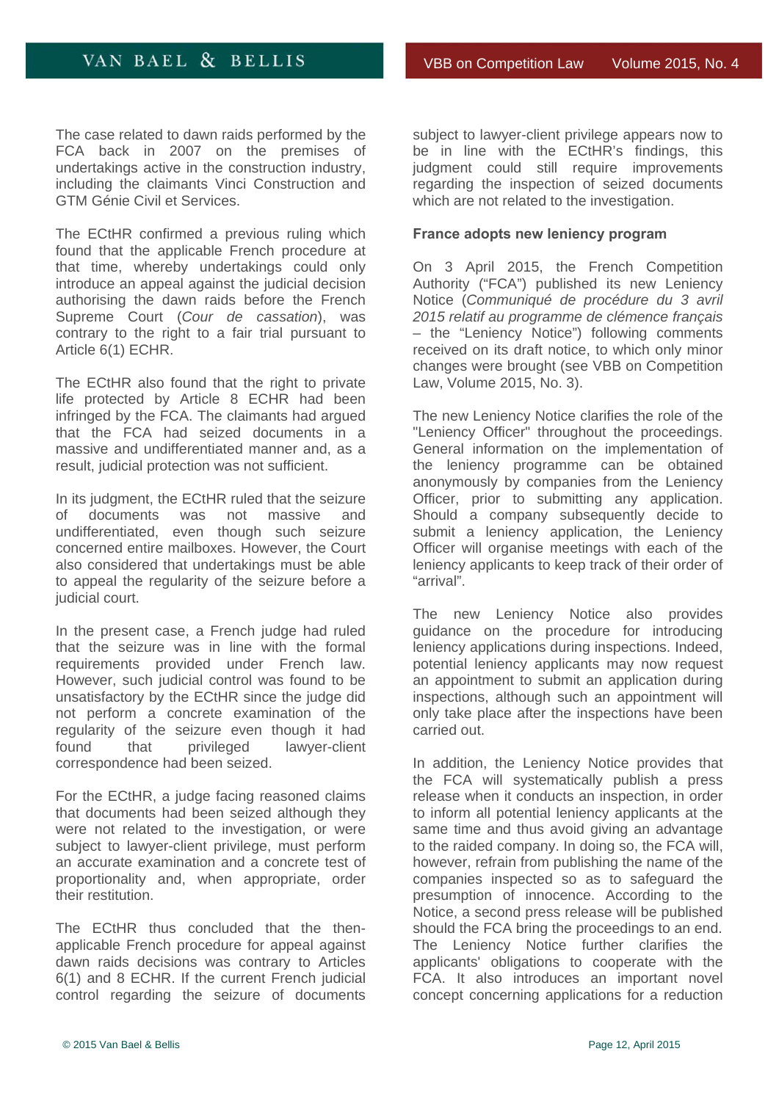<span id="page-11-0"></span>The case related to dawn raids performed by the FCA back in 2007 on the premises of undertakings active in the construction industry, including the claimants Vinci Construction and GTM Génie Civil et Services.

The ECtHR confirmed a previous ruling which found that the applicable French procedure at that time, whereby undertakings could only introduce an appeal against the judicial decision authorising the dawn raids before the French Supreme Court (*Cour de cassation*), was contrary to the right to a fair trial pursuant to Article 6(1) ECHR.

The ECtHR also found that the right to private life protected by Article 8 ECHR had been infringed by the FCA. The claimants had argued that the FCA had seized documents in a massive and undifferentiated manner and, as a result, judicial protection was not sufficient.

In its judgment, the ECtHR ruled that the seizure of documents was not massive and undifferentiated, even though such seizure concerned entire mailboxes. However, the Court also considered that undertakings must be able to appeal the regularity of the seizure before a judicial court.

In the present case, a French judge had ruled that the seizure was in line with the formal requirements provided under French law. However, such judicial control was found to be unsatisfactory by the ECtHR since the judge did not perform a concrete examination of the regularity of the seizure even though it had found that privileged lawyer-client correspondence had been seized.

For the ECtHR, a judge facing reasoned claims that documents had been seized although they were not related to the investigation, or were subject to lawyer-client privilege, must perform an accurate examination and a concrete test of proportionality and, when appropriate, order their restitution.

The ECtHR thus concluded that the thenapplicable French procedure for appeal against dawn raids decisions was contrary to Articles 6(1) and 8 ECHR. If the current French judicial control regarding the seizure of documents

subject to lawyer-client privilege appears now to be in line with the ECtHR's findings, this judgment could still require improvements regarding the inspection of seized documents which are not related to the investigation.

### **France adopts new leniency program**

On 3 April 2015, the French Competition Authority ("FCA") published its new Leniency Notice (*Communiqué de procédure du 3 avril 2015 relatif au programme de clémence français* – the "Leniency Notice") following comments received on its draft notice, to which only minor changes were brought (see VBB on Competition Law, Volume 2015, No. 3).

The new Leniency Notice clarifies the role of the "Leniency Officer" throughout the proceedings. General information on the implementation of the leniency programme can be obtained anonymously by companies from the Leniency Officer, prior to submitting any application. Should a company subsequently decide to submit a leniency application, the Leniency Officer will organise meetings with each of the leniency applicants to keep track of their order of "arrival".

The new Leniency Notice also provides guidance on the procedure for introducing leniency applications during inspections. Indeed, potential leniency applicants may now request an appointment to submit an application during inspections, although such an appointment will only take place after the inspections have been carried out.

In addition, the Leniency Notice provides that the FCA will systematically publish a press release when it conducts an inspection, in order to inform all potential leniency applicants at the same time and thus avoid giving an advantage to the raided company. In doing so, the FCA will, however, refrain from publishing the name of the companies inspected so as to safeguard the presumption of innocence. According to the Notice, a second press release will be published should the FCA bring the proceedings to an end. The Leniency Notice further clarifies the applicants' obligations to cooperate with the FCA. It also introduces an important novel concept concerning applications for a reduction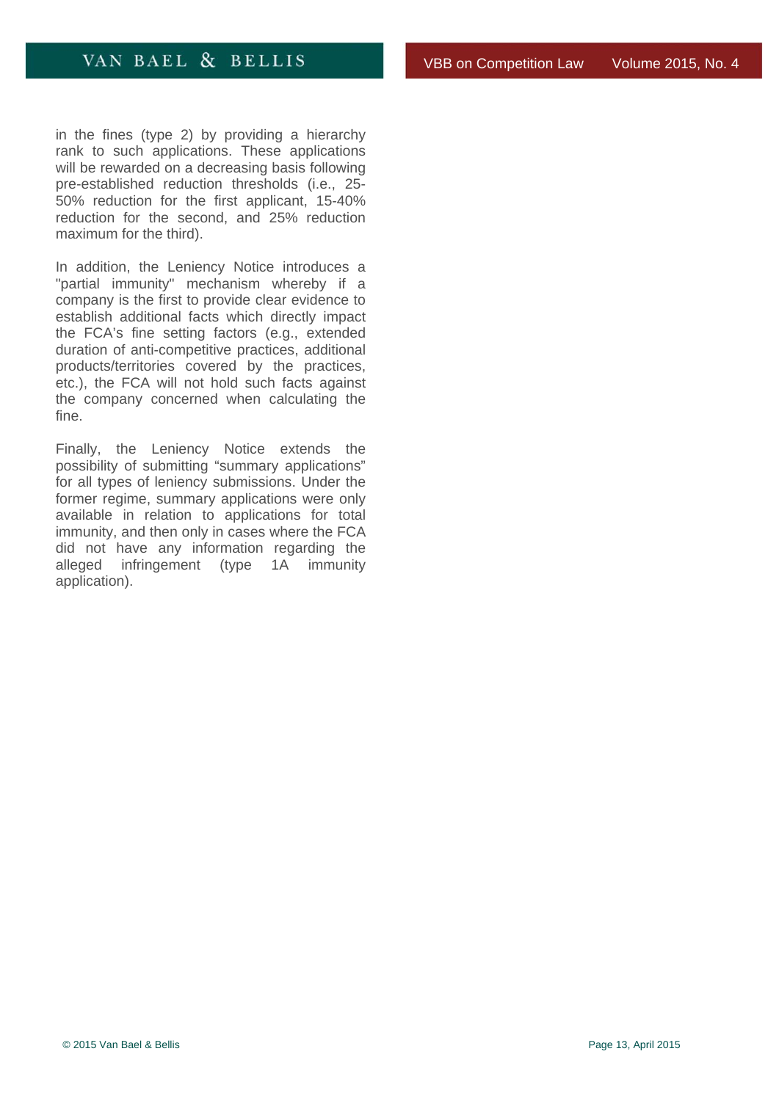in the fines (type 2) by providing a hierarchy rank to such applications. These applications will be rewarded on a decreasing basis following pre-established reduction thresholds (i.e., 25- 50% reduction for the first applicant, 15-40% reduction for the second, and 25% reduction maximum for the third).

In addition, the Leniency Notice introduces a "partial immunity" mechanism whereby if a company is the first to provide clear evidence to establish additional facts which directly impact the FCA's fine setting factors (e.g., extended duration of anti-competitive practices, additional products/territories covered by the practices, etc.), the FCA will not hold such facts against the company concerned when calculating the fine.

Finally, the Leniency Notice extends the possibility of submitting "summary applications" for all types of leniency submissions. Under the former regime, summary applications were only available in relation to applications for total immunity, and then only in cases where the FCA did not have any information regarding the alleged infringement (type 1A immunity application).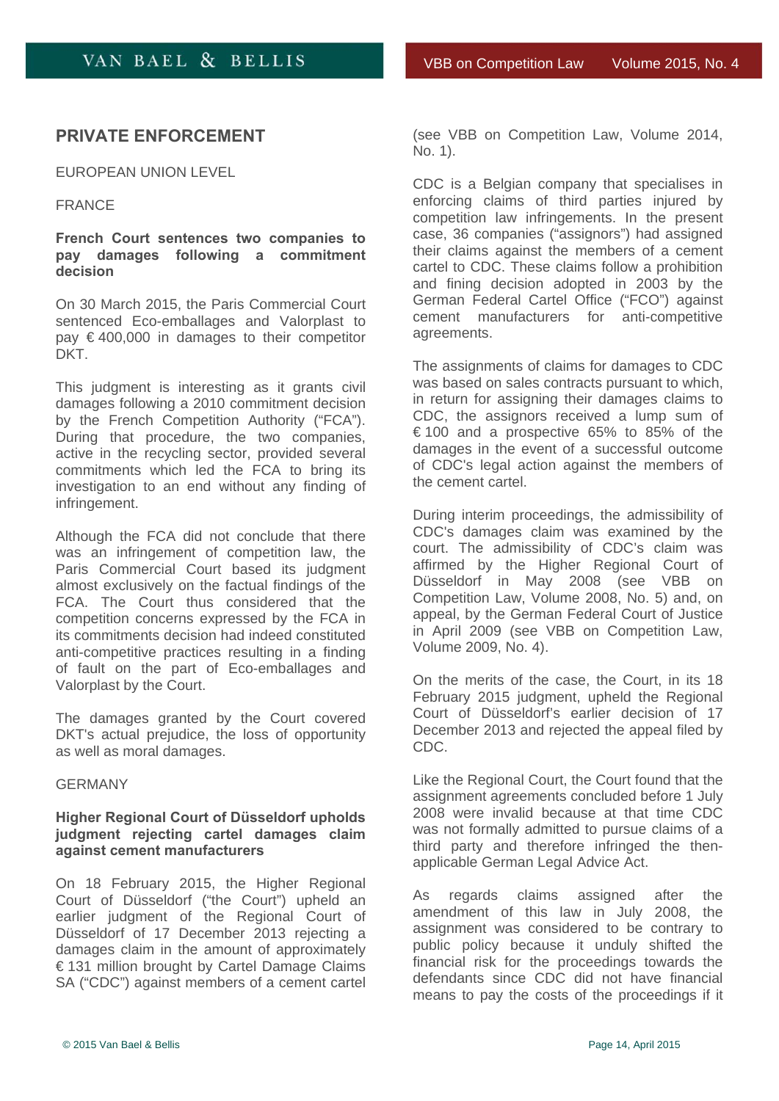# <span id="page-13-0"></span>**PRIVATE ENFORCEMENT**

EUROPEAN UNION LEVEL

#### FRANCE

**French Court sentences two companies to pay damages following a commitment decision** 

On 30 March 2015, the Paris Commercial Court sentenced Eco-emballages and Valorplast to  $pay \in 400,000$  in damages to their competitor DKT.

This judgment is interesting as it grants civil damages following a 2010 commitment decision by the French Competition Authority ("FCA"). During that procedure, the two companies, active in the recycling sector, provided several commitments which led the FCA to bring its investigation to an end without any finding of infringement.

Although the FCA did not conclude that there was an infringement of competition law, the Paris Commercial Court based its judgment almost exclusively on the factual findings of the FCA. The Court thus considered that the competition concerns expressed by the FCA in its commitments decision had indeed constituted anti-competitive practices resulting in a finding of fault on the part of Eco-emballages and Valorplast by the Court.

The damages granted by the Court covered DKT's actual prejudice, the loss of opportunity as well as moral damages.

#### GERMANY

### **Higher Regional Court of Düsseldorf upholds judgment rejecting cartel damages claim against cement manufacturers**

On 18 February 2015, the Higher Regional Court of Düsseldorf ("the Court") upheld an earlier judgment of the Regional Court of Düsseldorf of 17 December 2013 rejecting a damages claim in the amount of approximately € 131 million brought by Cartel Damage Claims SA ("CDC") against members of a cement cartel (see VBB on Competition Law, Volume 2014, No. 1).

CDC is a Belgian company that specialises in enforcing claims of third parties injured by competition law infringements. In the present case, 36 companies ("assignors") had assigned their claims against the members of a cement cartel to CDC. These claims follow a prohibition and fining decision adopted in 2003 by the German Federal Cartel Office ("FCO") against cement manufacturers for anti-competitive agreements.

The assignments of claims for damages to CDC was based on sales contracts pursuant to which, in return for assigning their damages claims to CDC, the assignors received a lump sum of € 100 and a prospective 65% to 85% of the damages in the event of a successful outcome of CDC's legal action against the members of the cement cartel.

During interim proceedings, the admissibility of CDC's damages claim was examined by the court. The admissibility of CDC's claim was affirmed by the Higher Regional Court of Düsseldorf in May 2008 (see VBB on Competition Law, Volume 2008, No. 5) and, on appeal, by the German Federal Court of Justice in April 2009 (see VBB on Competition Law, Volume 2009, No. 4).

On the merits of the case, the Court, in its 18 February 2015 judgment, upheld the Regional Court of Düsseldorf's earlier decision of 17 December 2013 and rejected the appeal filed by CDC.

Like the Regional Court, the Court found that the assignment agreements concluded before 1 July 2008 were invalid because at that time CDC was not formally admitted to pursue claims of a third party and therefore infringed the thenapplicable German Legal Advice Act.

As regards claims assigned after the amendment of this law in July 2008, the assignment was considered to be contrary to public policy because it unduly shifted the financial risk for the proceedings towards the defendants since CDC did not have financial means to pay the costs of the proceedings if it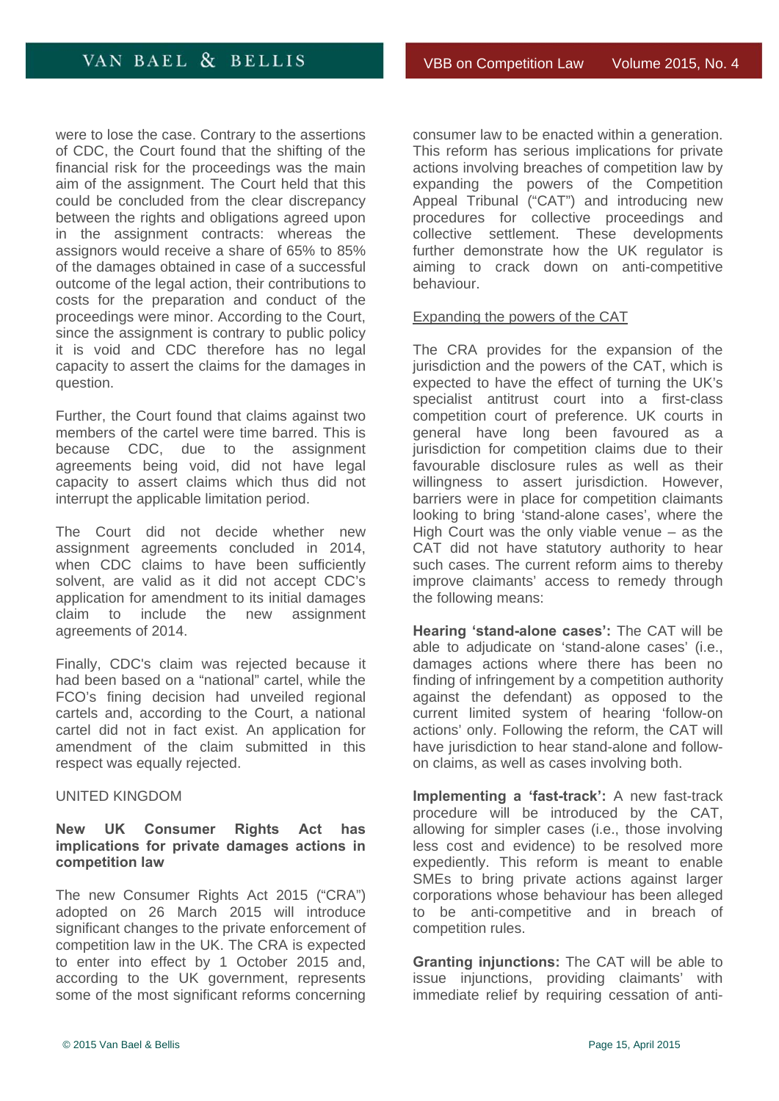<span id="page-14-0"></span>were to lose the case. Contrary to the assertions of CDC, the Court found that the shifting of the financial risk for the proceedings was the main aim of the assignment. The Court held that this could be concluded from the clear discrepancy between the rights and obligations agreed upon in the assignment contracts: whereas the assignors would receive a share of 65% to 85% of the damages obtained in case of a successful outcome of the legal action, their contributions to costs for the preparation and conduct of the proceedings were minor. According to the Court, since the assignment is contrary to public policy it is void and CDC therefore has no legal capacity to assert the claims for the damages in question.

Further, the Court found that claims against two members of the cartel were time barred. This is because CDC, due to the assignment agreements being void, did not have legal capacity to assert claims which thus did not interrupt the applicable limitation period.

The Court did not decide whether new assignment agreements concluded in 2014, when CDC claims to have been sufficiently solvent, are valid as it did not accept CDC's application for amendment to its initial damages claim to include the new assignment agreements of 2014.

Finally, CDC's claim was rejected because it had been based on a "national" cartel, while the FCO's fining decision had unveiled regional cartels and, according to the Court, a national cartel did not in fact exist. An application for amendment of the claim submitted in this respect was equally rejected.

### UNITED KINGDOM

### **New UK Consumer Rights Act has implications for private damages actions in competition law**

The new Consumer Rights Act 2015 ("CRA") adopted on 26 March 2015 will introduce significant changes to the private enforcement of competition law in the UK. The CRA is expected to enter into effect by 1 October 2015 and, according to the UK government, represents some of the most significant reforms concerning

consumer law to be enacted within a generation. This reform has serious implications for private actions involving breaches of competition law by expanding the powers of the Competition Appeal Tribunal ("CAT") and introducing new procedures for collective proceedings and collective settlement. These developments further demonstrate how the UK regulator is aiming to crack down on anti-competitive behaviour.

#### Expanding the powers of the CAT

The CRA provides for the expansion of the jurisdiction and the powers of the CAT, which is expected to have the effect of turning the UK's specialist antitrust court into a first-class competition court of preference. UK courts in general have long been favoured as a jurisdiction for competition claims due to their favourable disclosure rules as well as their willingness to assert jurisdiction. However, barriers were in place for competition claimants looking to bring 'stand-alone cases', where the High Court was the only viable venue  $-$  as the CAT did not have statutory authority to hear such cases. The current reform aims to thereby improve claimants' access to remedy through the following means:

**Hearing 'stand-alone cases':** The CAT will be able to adjudicate on 'stand-alone cases' (i.e., damages actions where there has been no finding of infringement by a competition authority against the defendant) as opposed to the current limited system of hearing 'follow-on actions' only. Following the reform, the CAT will have jurisdiction to hear stand-alone and followon claims, as well as cases involving both.

**Implementing a 'fast-track':** A new fast-track procedure will be introduced by the CAT, allowing for simpler cases (i.e., those involving less cost and evidence) to be resolved more expediently. This reform is meant to enable SMEs to bring private actions against larger corporations whose behaviour has been alleged to be anti-competitive and in breach of competition rules.

**Granting injunctions:** The CAT will be able to issue injunctions, providing claimants' with immediate relief by requiring cessation of anti-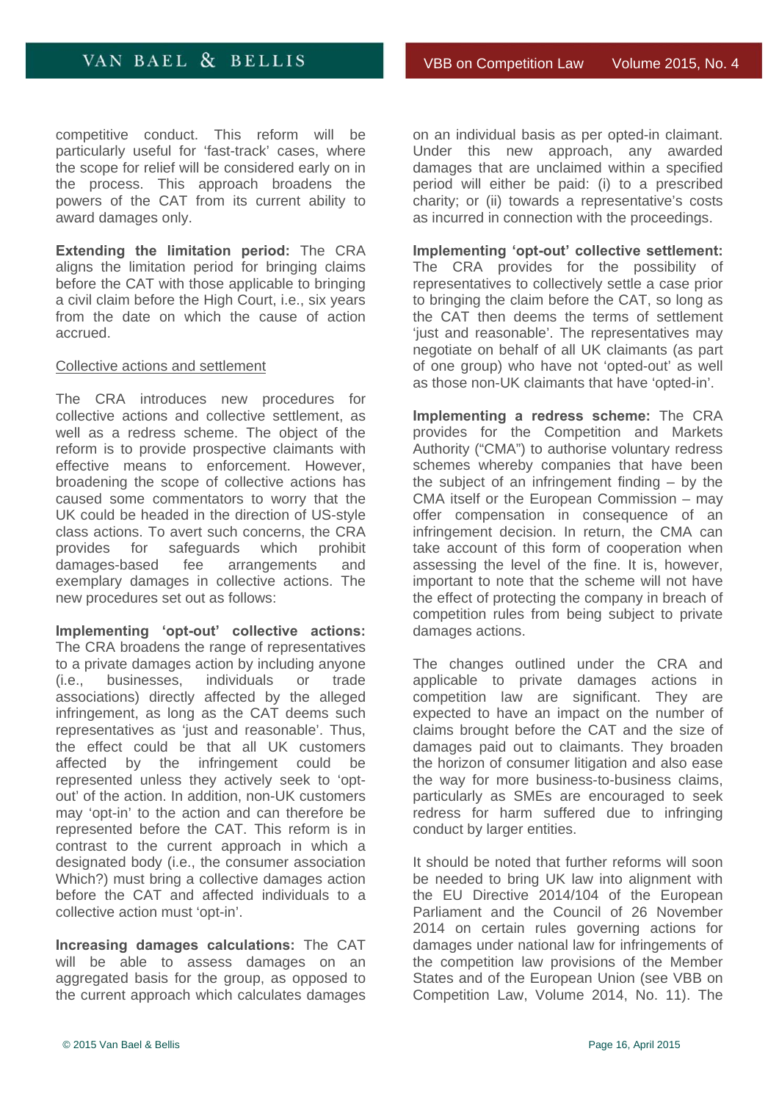competitive conduct. This reform will be particularly useful for 'fast-track' cases, where the scope for relief will be considered early on in the process. This approach broadens the powers of the CAT from its current ability to award damages only.

**Extending the limitation period:** The CRA aligns the limitation period for bringing claims before the CAT with those applicable to bringing a civil claim before the High Court, i.e., six years from the date on which the cause of action accrued.

### Collective actions and settlement

The CRA introduces new procedures for collective actions and collective settlement, as well as a redress scheme. The object of the reform is to provide prospective claimants with effective means to enforcement. However, broadening the scope of collective actions has caused some commentators to worry that the UK could be headed in the direction of US-style class actions. To avert such concerns, the CRA provides for safeguards which prohibit damages-based fee arrangements and exemplary damages in collective actions. The new procedures set out as follows:

**Implementing 'opt-out' collective actions:** The CRA broadens the range of representatives to a private damages action by including anyone (i.e., businesses, individuals or trade associations) directly affected by the alleged infringement, as long as the CAT deems such representatives as 'just and reasonable'. Thus, the effect could be that all UK customers affected by the infringement could be represented unless they actively seek to 'optout' of the action. In addition, non-UK customers may 'opt-in' to the action and can therefore be represented before the CAT. This reform is in contrast to the current approach in which a designated body (i.e., the consumer association Which?) must bring a collective damages action before the CAT and affected individuals to a collective action must 'opt-in'.

**Increasing damages calculations:** The CAT will be able to assess damages on an aggregated basis for the group, as opposed to the current approach which calculates damages

on an individual basis as per opted-in claimant. Under this new approach, any awarded damages that are unclaimed within a specified period will either be paid: (i) to a prescribed charity; or (ii) towards a representative's costs as incurred in connection with the proceedings.

**Implementing 'opt-out' collective settlement:** The CRA provides for the possibility of representatives to collectively settle a case prior to bringing the claim before the CAT, so long as the CAT then deems the terms of settlement 'just and reasonable'. The representatives may negotiate on behalf of all UK claimants (as part of one group) who have not 'opted-out' as well as those non-UK claimants that have 'opted-in'.

**Implementing a redress scheme:** The CRA provides for the Competition and Markets Authority ("CMA") to authorise voluntary redress schemes whereby companies that have been the subject of an infringement finding – by the CMA itself or the European Commission – may offer compensation in consequence of an infringement decision. In return, the CMA can take account of this form of cooperation when assessing the level of the fine. It is, however, important to note that the scheme will not have the effect of protecting the company in breach of competition rules from being subject to private damages actions.

The changes outlined under the CRA and applicable to private damages actions in competition law are significant. They are expected to have an impact on the number of claims brought before the CAT and the size of damages paid out to claimants. They broaden the horizon of consumer litigation and also ease the way for more business-to-business claims, particularly as SMEs are encouraged to seek redress for harm suffered due to infringing conduct by larger entities.

It should be noted that further reforms will soon be needed to bring UK law into alignment with the EU Directive 2014/104 of the European Parliament and the Council of 26 November 2014 on certain rules governing actions for damages under national law for infringements of the competition law provisions of the Member States and of the European Union (see VBB on Competition Law, Volume 2014, No. 11). The